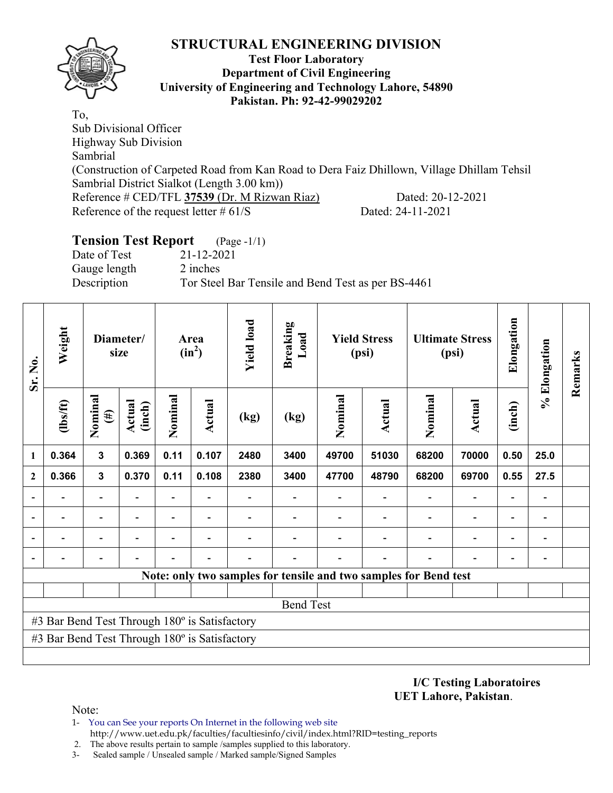

### **Test Floor Laboratory Department of Civil Engineering University of Engineering and Technology Lahore, 54890 Pakistan. Ph: 92-42-99029202**

To, Sub Divisional Officer Highway Sub Division Sambrial (Construction of Carpeted Road from Kan Road to Dera Faiz Dhillown, Village Dhillam Tehsil Sambrial District Sialkot (Length 3.00 km)) Reference # CED/TFL 37539 (Dr. M Rizwan Riaz) Dated: 20-12-2021 Reference of the request letter # 61/S Dated: 24-11-2021

# **Tension Test Report** (Page -1/1)

Date of Test 21-12-2021 Gauge length 2 inches

Description Tor Steel Bar Tensile and Bend Test as per BS-4461

| Sr. No.<br>1   | Weight                                        |                          | Diameter/<br>size        |         | Area<br>$(in^2)$         | <b>Yield load</b>        | <b>Breaking</b><br>Load |         | <b>Yield Stress</b><br>(psi) |                                                                  | <b>Ultimate Stress</b><br>(psi) | Elongation               | % Elongation                 | Remarks |
|----------------|-----------------------------------------------|--------------------------|--------------------------|---------|--------------------------|--------------------------|-------------------------|---------|------------------------------|------------------------------------------------------------------|---------------------------------|--------------------------|------------------------------|---------|
|                | $\frac{2}{10}$                                | Nominal<br>$(\#)$        | Actual<br>(inch)         | Nominal | <b>Actual</b>            | (kg)                     | (kg)                    | Nominal | <b>Actual</b>                | Nominal                                                          | <b>Actual</b>                   | (inch)                   |                              |         |
|                | 0.364                                         | $\overline{\mathbf{3}}$  | 0.369                    | 0.11    | 0.107                    | 2480                     | 3400                    | 49700   | 51030                        | 68200                                                            | 70000                           | 0.50                     | 25.0                         |         |
| $\mathbf{2}$   | 0.366                                         | $\mathbf{3}$             | 0.370                    | 0.11    | 0.108                    | 2380                     | 3400                    | 47700   | 48790                        | 68200                                                            | 69700                           | 0.55                     | 27.5                         |         |
|                |                                               | $\blacksquare$           |                          |         |                          |                          |                         |         |                              |                                                                  | $\overline{\phantom{0}}$        | ۰                        |                              |         |
| $\overline{a}$ | -                                             | $\blacksquare$           | $\overline{\phantom{0}}$ |         | $\blacksquare$           | $\overline{\phantom{0}}$ |                         |         | $\overline{\phantom{a}}$     | $\blacksquare$                                                   | $\overline{\phantom{a}}$        | $\overline{\phantom{a}}$ | $\blacksquare$               |         |
|                |                                               | $\overline{\phantom{0}}$ |                          |         | $\overline{\phantom{0}}$ |                          |                         |         |                              | $\blacksquare$                                                   | $\overline{a}$                  | $\overline{\phantom{a}}$ | $\qquad \qquad \blacksquare$ |         |
|                |                                               | -                        |                          |         | $\overline{\phantom{0}}$ |                          |                         |         |                              |                                                                  | $\overline{a}$                  | $\overline{\phantom{0}}$ | $\qquad \qquad \blacksquare$ |         |
|                |                                               |                          |                          |         |                          |                          |                         |         |                              | Note: only two samples for tensile and two samples for Bend test |                                 |                          |                              |         |
|                |                                               |                          |                          |         |                          |                          |                         |         |                              |                                                                  |                                 |                          |                              |         |
|                |                                               |                          |                          |         |                          |                          | <b>Bend Test</b>        |         |                              |                                                                  |                                 |                          |                              |         |
|                | #3 Bar Bend Test Through 180° is Satisfactory |                          |                          |         |                          |                          |                         |         |                              |                                                                  |                                 |                          |                              |         |
|                | #3 Bar Bend Test Through 180° is Satisfactory |                          |                          |         |                          |                          |                         |         |                              |                                                                  |                                 |                          |                              |         |
|                |                                               |                          |                          |         |                          |                          |                         |         |                              |                                                                  |                                 |                          |                              |         |

**I/C Testing Laboratoires UET Lahore, Pakistan**.

Note:

- 1- You can See your reports On Internet in the following web site http://www.uet.edu.pk/faculties/facultiesinfo/civil/index.html?RID=testing\_reports
- 2. The above results pertain to sample /samples supplied to this laboratory.
- 3- Sealed sample / Unsealed sample / Marked sample/Signed Samples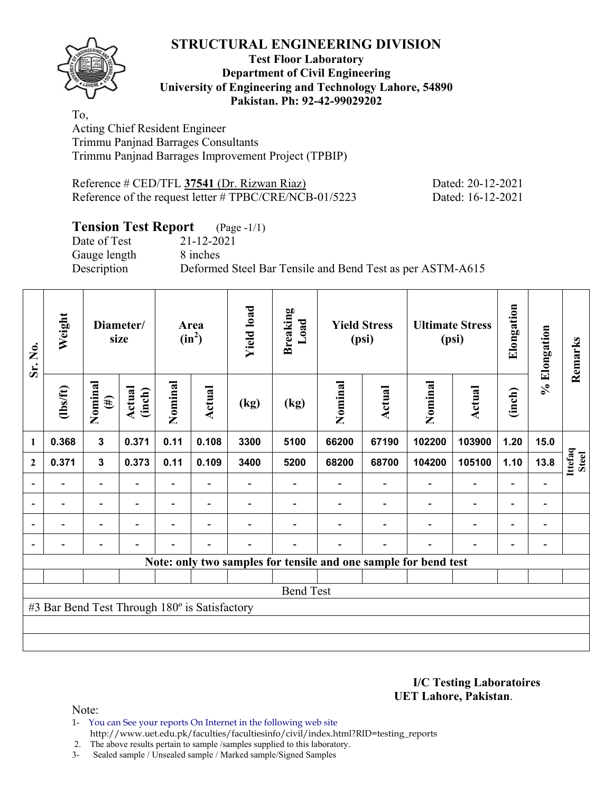**Test Floor Laboratory Department of Civil Engineering University of Engineering and Technology Lahore, 54890 Pakistan. Ph: 92-42-99029202** 

To, Acting Chief Resident Engineer Trimmu Panjnad Barrages Consultants Trimmu Panjnad Barrages Improvement Project (TPBIP)

| Reference # CED/TFL 37541 (Dr. Rizwan Riaz) |                                                        |  |
|---------------------------------------------|--------------------------------------------------------|--|
|                                             | Reference of the request letter # TPBC/CRE/NCB-01/5223 |  |

Dated: 20-12-2021 Dated: 16-12-2021

# **Tension Test Report** (Page -1/1)

Date of Test 21-12-2021 Gauge length 8 inches

Description Deformed Steel Bar Tensile and Bend Test as per ASTM-A615

| Sr. No.<br>$\mathbf{1}$  | Weight                                        |                          | Diameter/<br>size        |                | Area<br>$(in^2)$         | <b>Yield load</b> | <b>Breaking</b><br>Load | <b>Yield Stress</b><br>(psi) |                          |                                                                 | <b>Ultimate Stress</b><br>(psi) | Elongation                   | % Elongation             | Remarks          |
|--------------------------|-----------------------------------------------|--------------------------|--------------------------|----------------|--------------------------|-------------------|-------------------------|------------------------------|--------------------------|-----------------------------------------------------------------|---------------------------------|------------------------------|--------------------------|------------------|
|                          | $\frac{2}{10}$                                | Nominal<br>$(\#)$        | Actual<br>(inch)         | Nominal        | <b>Actual</b>            | (kg)              | (kg)                    | Nominal                      | Actual                   | Nominal                                                         | Actual                          | (inch)                       |                          |                  |
|                          | 0.368                                         | 3                        | 0.371                    | 0.11           | 0.108                    | 3300              | 5100                    | 66200                        | 67190                    | 102200                                                          | 103900                          | 1.20                         | 15.0                     |                  |
| $\boldsymbol{2}$         | 0.371                                         | $\mathbf{3}$             | 0.373                    | 0.11           | 0.109                    | 3400              | 5200                    | 68200                        | 68700                    | 104200                                                          | 105100                          | 1.10                         | 13.8                     | Ittefaq<br>Steel |
|                          |                                               | Ξ.                       |                          |                |                          |                   |                         |                              |                          |                                                                 | $\blacksquare$                  | $\overline{a}$               |                          |                  |
| $\overline{\phantom{0}}$ |                                               | $\blacksquare$           | $\overline{\phantom{a}}$ | Ξ.             | $\overline{\phantom{a}}$ |                   |                         |                              |                          | $\blacksquare$                                                  | $\overline{a}$                  | $\qquad \qquad \blacksquare$ | $\overline{\phantom{0}}$ |                  |
|                          | $\blacksquare$                                | Ξ.                       |                          | $\blacksquare$ | $\overline{\phantom{0}}$ |                   |                         |                              |                          | ÷                                                               | $\overline{a}$                  | $\overline{\phantom{a}}$     | $\blacksquare$           |                  |
|                          |                                               | $\overline{\phantom{0}}$ | $\overline{\phantom{0}}$ |                | $\blacksquare$           |                   |                         |                              | $\overline{\phantom{a}}$ | $\blacksquare$                                                  | $\overline{a}$                  | $\overline{\phantom{a}}$     |                          |                  |
|                          |                                               |                          |                          |                |                          |                   |                         |                              |                          | Note: only two samples for tensile and one sample for bend test |                                 |                              |                          |                  |
|                          |                                               |                          |                          |                |                          |                   |                         |                              |                          |                                                                 |                                 |                              |                          |                  |
|                          |                                               |                          |                          |                |                          |                   | <b>Bend Test</b>        |                              |                          |                                                                 |                                 |                              |                          |                  |
|                          | #3 Bar Bend Test Through 180° is Satisfactory |                          |                          |                |                          |                   |                         |                              |                          |                                                                 |                                 |                              |                          |                  |
|                          |                                               |                          |                          |                |                          |                   |                         |                              |                          |                                                                 |                                 |                              |                          |                  |
|                          |                                               |                          |                          |                |                          |                   |                         |                              |                          |                                                                 |                                 |                              |                          |                  |

**I/C Testing Laboratoires UET Lahore, Pakistan**.

Note:

1- You can See your reports On Internet in the following web site http://www.uet.edu.pk/faculties/facultiesinfo/civil/index.html?RID=testing\_reports

2. The above results pertain to sample /samples supplied to this laboratory.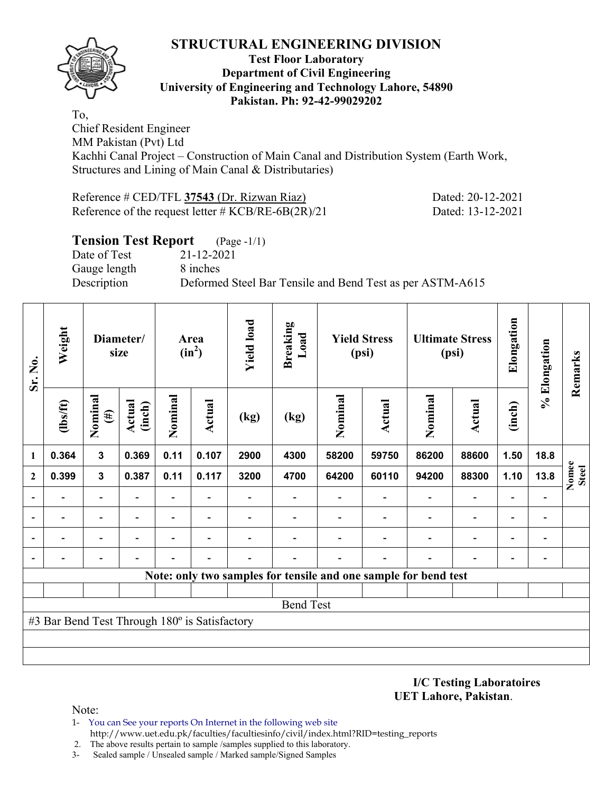

### **Test Floor Laboratory Department of Civil Engineering University of Engineering and Technology Lahore, 54890 Pakistan. Ph: 92-42-99029202**

To, Chief Resident Engineer MM Pakistan (Pvt) Ltd Kachhi Canal Project – Construction of Main Canal and Distribution System (Earth Work, Structures and Lining of Main Canal & Distributaries)

Reference # CED/TFL **37543** (Dr. Rizwan Riaz) Dated: 20-12-2021 Reference of the request letter # KCB/RE-6B(2R)/21 Dated: 13-12-2021

## **Tension Test Report** (Page -1/1) Date of Test 21-12-2021 Gauge length 8 inches Description Deformed Steel Bar Tensile and Bend Test as per ASTM-A615

| Sr. No.      | Weight                                        |                   | Diameter/<br>size |                          | Area<br>$(in^2)$         | <b>Yield load</b> | <b>Breaking</b><br>Load                                         |         | <b>Yield Stress</b><br>(psi) |         | <b>Ultimate Stress</b><br>(psi) | Elongation               | % Elongation | Remarks               |
|--------------|-----------------------------------------------|-------------------|-------------------|--------------------------|--------------------------|-------------------|-----------------------------------------------------------------|---------|------------------------------|---------|---------------------------------|--------------------------|--------------|-----------------------|
|              | (1bs/ft)                                      | Nominal<br>$(\#)$ | Actual<br>(inch)  | Nominal                  | <b>Actual</b>            | (kg)              | (kg)                                                            | Nominal | <b>Actual</b>                | Nominal | <b>Actual</b>                   | (inch)                   |              |                       |
| 1            | 0.364                                         | $\mathbf{3}$      | 0.369             | 0.11                     | 0.107                    | 2900              | 4300                                                            | 58200   | 59750                        | 86200   | 88600                           | 1.50                     | 18.8         |                       |
| $\mathbf{2}$ | 0.399                                         | $\mathbf{3}$      | 0.387             | 0.11                     | 0.117                    | 3200              | 4700                                                            | 64200   | 60110                        | 94200   | 88300                           | 1.10                     | 13.8         | Nomee<br><b>Steel</b> |
|              |                                               |                   |                   | $\overline{\phantom{0}}$ |                          |                   |                                                                 |         |                              |         | $\overline{a}$                  | $\overline{a}$           |              |                       |
|              |                                               |                   |                   | $\overline{\phantom{0}}$ |                          |                   |                                                                 |         |                              |         | $\overline{\phantom{0}}$        | $\overline{\phantom{0}}$ |              |                       |
|              |                                               |                   |                   | -                        | $\overline{\phantom{0}}$ |                   |                                                                 |         |                              |         | $\qquad \qquad \blacksquare$    | $\overline{\phantom{0}}$ |              |                       |
|              |                                               |                   |                   |                          |                          |                   |                                                                 |         |                              |         |                                 | -                        |              |                       |
|              |                                               |                   |                   |                          |                          |                   | Note: only two samples for tensile and one sample for bend test |         |                              |         |                                 |                          |              |                       |
|              |                                               |                   |                   |                          |                          |                   |                                                                 |         |                              |         |                                 |                          |              |                       |
|              |                                               |                   |                   |                          |                          |                   | <b>Bend Test</b>                                                |         |                              |         |                                 |                          |              |                       |
|              | #3 Bar Bend Test Through 180° is Satisfactory |                   |                   |                          |                          |                   |                                                                 |         |                              |         |                                 |                          |              |                       |
|              |                                               |                   |                   |                          |                          |                   |                                                                 |         |                              |         |                                 |                          |              |                       |
|              |                                               |                   |                   |                          |                          |                   |                                                                 |         |                              |         |                                 |                          |              |                       |

**I/C Testing Laboratoires UET Lahore, Pakistan**.

Note:

- 1- You can See your reports On Internet in the following web site http://www.uet.edu.pk/faculties/facultiesinfo/civil/index.html?RID=testing\_reports
- 2. The above results pertain to sample /samples supplied to this laboratory.
- 3- Sealed sample / Unsealed sample / Marked sample/Signed Samples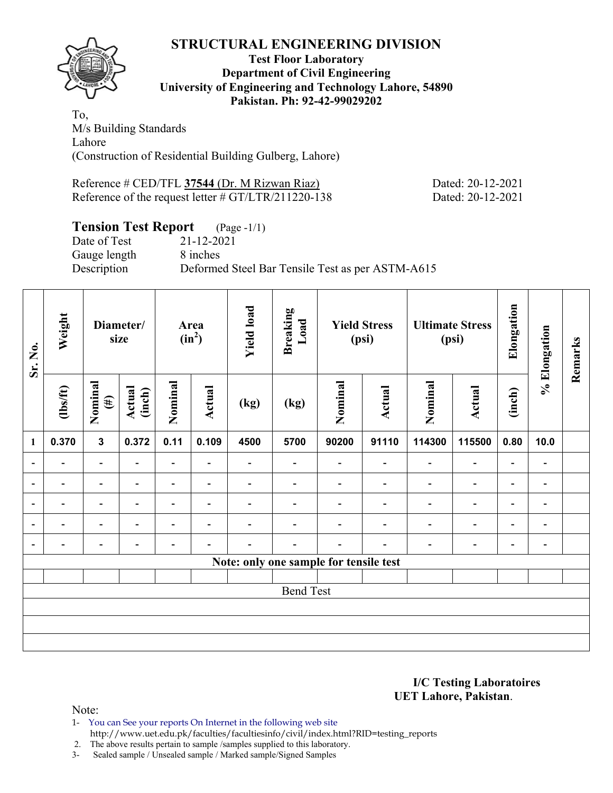## **STRUCTURAL ENGINEERING DIVISION Test Floor Laboratory Department of Civil Engineering University of Engineering and Technology Lahore, 54890 Pakistan. Ph: 92-42-99029202**

To, M/s Building Standards Lahore (Construction of Residential Building Gulberg, Lahore)

Reference # CED/TFL 37544 (Dr. M Rizwan Riaz) Dated: 20-12-2021 Reference of the request letter # GT/LTR/211220-138 Dated: 20-12-2021

# **Tension Test Report** (Page -1/1)

Gauge length 8 inches

Date of Test 21-12-2021 Description Deformed Steel Bar Tensile Test as per ASTM-A615

| Sr. No.                  | Weight                   |                          | Diameter/<br>size |                          | Area<br>$(in^2)$         | <b>Yield load</b>        | <b>Breaking</b><br>Load |                                        | <b>Yield Stress</b><br>(psi) |                | <b>Ultimate Stress</b><br>(psi) | Elongation               | % Elongation                 | Remarks |
|--------------------------|--------------------------|--------------------------|-------------------|--------------------------|--------------------------|--------------------------|-------------------------|----------------------------------------|------------------------------|----------------|---------------------------------|--------------------------|------------------------------|---------|
| $\mathbf{1}$             | $\frac{2}{10}$           | Nominal<br>$(\#)$        | Actual<br>(inch)  | Nominal                  | Actual                   | (kg)                     | (kg)                    | Nominal                                | Actual                       | Nominal        | Actual                          | (inch)                   |                              |         |
|                          | 0.370                    | $\mathbf{3}$             | 0.372             | 0.11                     | 0.109                    | 4500                     | 5700                    | 90200                                  | 91110                        | 114300         | 115500                          | 0.80                     | 10.0                         |         |
| $\overline{\phantom{a}}$ | $\overline{\phantom{0}}$ | $\overline{\phantom{0}}$ | ٠                 | $\overline{\phantom{0}}$ | $\overline{\phantom{0}}$ | -                        |                         |                                        | $\overline{\phantom{a}}$     | $\blacksquare$ | $\blacksquare$                  | $\overline{\phantom{a}}$ |                              |         |
| $\blacksquare$           | -                        | $\blacksquare$           | $\blacksquare$    | Ξ.                       | $\overline{\phantom{a}}$ | $\overline{\phantom{0}}$ | $\blacksquare$          | $\overline{\phantom{0}}$               | $\blacksquare$               | $\blacksquare$ | $\overline{\phantom{a}}$        | $\overline{\phantom{a}}$ | $\overline{\phantom{0}}$     |         |
| $\overline{\phantom{0}}$ |                          | $\overline{\phantom{0}}$ |                   | -                        | $\overline{\phantom{0}}$ |                          |                         |                                        |                              | ٠              | $\overline{\phantom{0}}$        | $\overline{\phantom{0}}$ | $\qquad \qquad \blacksquare$ |         |
| $\overline{\phantom{a}}$ |                          | $\overline{\phantom{0}}$ |                   | -                        | $\blacksquare$           |                          |                         |                                        |                              | ٠              | $\overline{a}$                  | $\overline{\phantom{a}}$ | $\blacksquare$               |         |
| $\overline{\phantom{a}}$ | -                        | $\overline{\phantom{0}}$ |                   |                          | $\overline{\phantom{0}}$ |                          |                         | $\overline{\phantom{0}}$               | $\overline{\phantom{0}}$     |                | $\overline{\phantom{0}}$        | $\overline{\phantom{0}}$ | $\blacksquare$               |         |
|                          |                          |                          |                   |                          |                          |                          |                         | Note: only one sample for tensile test |                              |                |                                 |                          |                              |         |
|                          |                          |                          |                   |                          |                          |                          |                         |                                        |                              |                |                                 |                          |                              |         |
|                          |                          |                          |                   |                          |                          |                          | <b>Bend Test</b>        |                                        |                              |                |                                 |                          |                              |         |
|                          |                          |                          |                   |                          |                          |                          |                         |                                        |                              |                |                                 |                          |                              |         |
|                          |                          |                          |                   |                          |                          |                          |                         |                                        |                              |                |                                 |                          |                              |         |
|                          |                          |                          |                   |                          |                          |                          |                         |                                        |                              |                |                                 |                          |                              |         |

**I/C Testing Laboratoires UET Lahore, Pakistan**.

Note:

1- You can See your reports On Internet in the following web site http://www.uet.edu.pk/faculties/facultiesinfo/civil/index.html?RID=testing\_reports

2. The above results pertain to sample /samples supplied to this laboratory.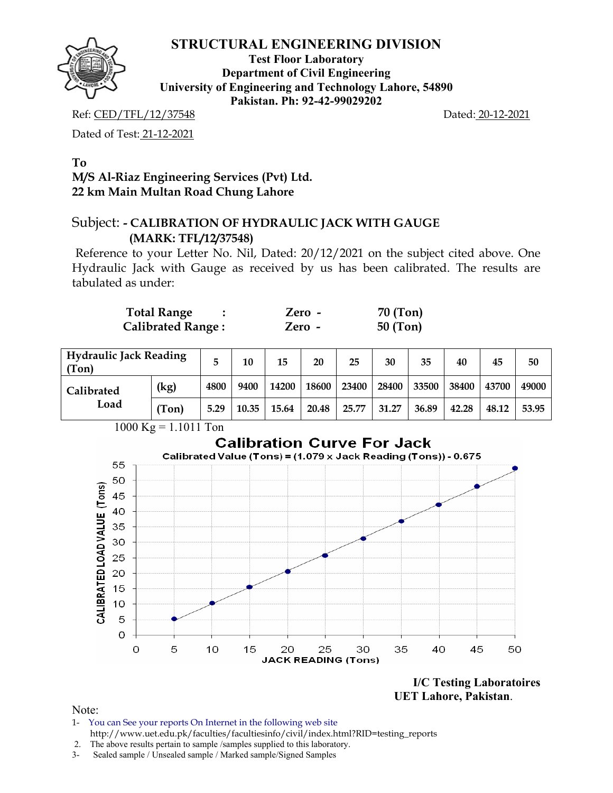

**Test Floor Laboratory Department of Civil Engineering University of Engineering and Technology Lahore, 54890 Pakistan. Ph: 92-42-99029202** 

Ref: CED/TFL/12/37548 Dated: 20-12-2021

Dated of Test: 21-12-2021

## **To M/S Al-Riaz Engineering Services (Pvt) Ltd. 22 km Main Multan Road Chung Lahore**

# Subject: **- CALIBRATION OF HYDRAULIC JACK WITH GAUGE (MARK: TFL/12/37548)**

Reference to your Letter No. Nil, Dated: 20/12/2021 on the subject cited above. One Hydraulic Jack with Gauge as received by us has been calibrated. The results are tabulated as under:

| <b>Total Range</b>       | Zero - | 70 (Ton)   |
|--------------------------|--------|------------|
| <b>Calibrated Range:</b> | Zero - | $50$ (Ton) |

| <b>Hydraulic Jack Reading</b><br>(Ton) |       | 5    | 10    | 15    | 20    | 25    | 30    | 35    | 40    | 45    | 50    |
|----------------------------------------|-------|------|-------|-------|-------|-------|-------|-------|-------|-------|-------|
| Calibrated                             | (kg)  | 4800 | 9400  | 14200 | 18600 | 23400 | 28400 | 33500 | 38400 | 43700 | 49000 |
| Load                                   | (Ton) | 5.29 | 10.35 | 15.64 | 20.48 | 25.77 | 31.27 | 36.89 | 42.28 | 48.12 | 53.95 |



**I/C Testing Laboratoires UET Lahore, Pakistan**.

Note:

- 1- You can See your reports On Internet in the following web site http://www.uet.edu.pk/faculties/facultiesinfo/civil/index.html?RID=testing\_reports
- 2. The above results pertain to sample /samples supplied to this laboratory.
- 3- Sealed sample / Unsealed sample / Marked sample/Signed Samples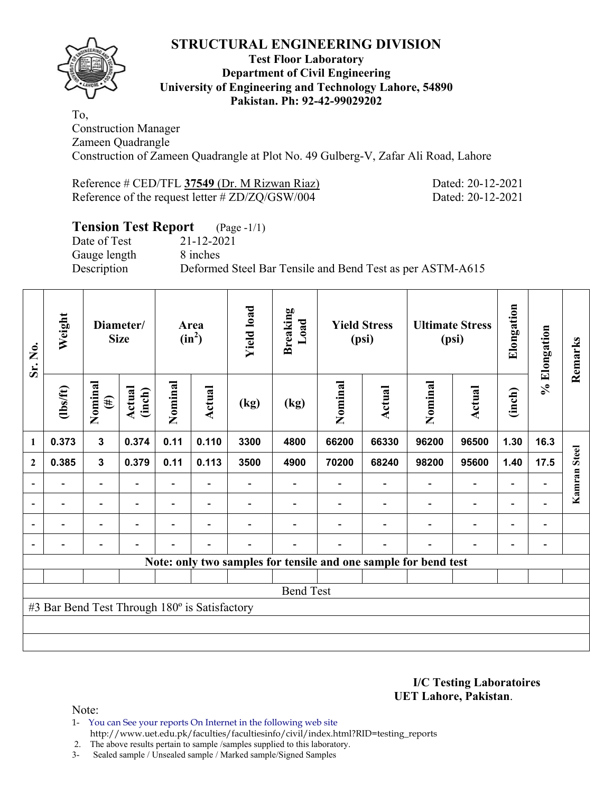

## **Test Floor Laboratory Department of Civil Engineering University of Engineering and Technology Lahore, 54890 Pakistan. Ph: 92-42-99029202**

To, Construction Manager Zameen Quadrangle Construction of Zameen Quadrangle at Plot No. 49 Gulberg-V, Zafar Ali Road, Lahore

| Reference # CED/TFL 37549 (Dr. M Rizwan Riaz)   |  |  |
|-------------------------------------------------|--|--|
| Reference of the request letter # ZD/ZQ/GSW/004 |  |  |

Dated: 20-12-2021 Dated: 20-12-2021

# **Tension Test Report** (Page -1/1)

Date of Test 21-12-2021 Gauge length 8 inches

Description Deformed Steel Bar Tensile and Bend Test as per ASTM-A615

| Sr. No.        | Weight                                        |                              | Diameter/<br><b>Size</b> |                          | Area<br>$(in^2)$         | <b>Yield load</b> | <b>Breaking</b><br>Load |         | <b>Yield Stress</b><br>(psi)                                    |                          | <b>Ultimate Stress</b><br>(psi) | Elongation               | % Elongation                 | Remarks      |
|----------------|-----------------------------------------------|------------------------------|--------------------------|--------------------------|--------------------------|-------------------|-------------------------|---------|-----------------------------------------------------------------|--------------------------|---------------------------------|--------------------------|------------------------------|--------------|
|                | $\frac{2}{10}$                                | Nominal<br>$(\#)$            | Actual<br>(inch)         | Nominal                  | Actual                   | (kg)              | (kg)                    | Nominal | Actual                                                          | Nominal                  | <b>Actual</b>                   | (inch)                   |                              |              |
| $\mathbf{1}$   | 0.373                                         | $\mathbf{3}$                 | 0.374                    | 0.11                     | 0.110                    | 3300              | 4800                    | 66200   | 66330                                                           | 96200                    | 96500                           | 1.30                     | 16.3                         |              |
| $\overline{2}$ | 0.385                                         | $\mathbf 3$                  | 0.379                    | 0.11                     | 0.113                    | 3500              | 4900                    | 70200   | 68240                                                           | 98200                    | 95600                           | 1.40                     | 17.5                         |              |
|                |                                               | -                            |                          |                          |                          |                   |                         |         |                                                                 |                          | $\qquad \qquad -$               | -                        |                              | Kamran Steel |
| $\blacksquare$ | $\overline{\phantom{0}}$                      | $\overline{\phantom{a}}$     | $\blacksquare$           | $\overline{\phantom{0}}$ | $\overline{\phantom{a}}$ |                   |                         |         |                                                                 | $\overline{\phantom{a}}$ | $\qquad \qquad \blacksquare$    | $\overline{\phantom{a}}$ |                              |              |
|                | $\overline{\phantom{0}}$                      | $\overline{\phantom{a}}$     |                          | $\overline{\phantom{0}}$ | $\overline{\phantom{0}}$ |                   |                         |         |                                                                 | $\overline{\phantom{0}}$ | $\overline{\phantom{a}}$        | Ξ.                       | $\qquad \qquad \blacksquare$ |              |
|                | $\overline{\phantom{0}}$                      | $\qquad \qquad \blacksquare$ |                          |                          | $\overline{\phantom{0}}$ |                   |                         |         | $\overline{\phantom{0}}$                                        | $\overline{\phantom{0}}$ | $\qquad \qquad -$               | $\overline{\phantom{a}}$ | $\blacksquare$               |              |
|                |                                               |                              |                          |                          |                          |                   |                         |         | Note: only two samples for tensile and one sample for bend test |                          |                                 |                          |                              |              |
|                |                                               |                              |                          |                          |                          |                   |                         |         |                                                                 |                          |                                 |                          |                              |              |
|                |                                               |                              |                          |                          |                          |                   | <b>Bend Test</b>        |         |                                                                 |                          |                                 |                          |                              |              |
|                | #3 Bar Bend Test Through 180° is Satisfactory |                              |                          |                          |                          |                   |                         |         |                                                                 |                          |                                 |                          |                              |              |
|                |                                               |                              |                          |                          |                          |                   |                         |         |                                                                 |                          |                                 |                          |                              |              |
|                |                                               |                              |                          |                          |                          |                   |                         |         |                                                                 |                          |                                 |                          |                              |              |

**I/C Testing Laboratoires UET Lahore, Pakistan**.

Note:

1- You can See your reports On Internet in the following web site http://www.uet.edu.pk/faculties/facultiesinfo/civil/index.html?RID=testing\_reports

2. The above results pertain to sample /samples supplied to this laboratory.